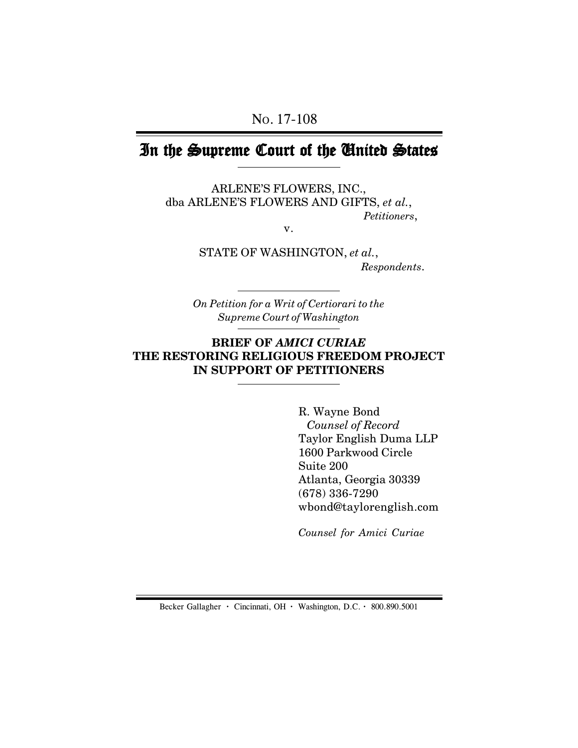# In the Supreme Court of the United States

ARLENE'S FLOWERS, INC., dba ARLENE'S FLOWERS AND GIFTS, *et al.*, *Petitioners*,

v.

STATE OF WASHINGTON, *et al.*,  *Respondents*.

*On Petition for a Writ of Certiorari to the Supreme Court of Washington*

## **BRIEF OF** *AMICI CURIAE* **THE RESTORING RELIGIOUS FREEDOM PROJECT IN SUPPORT OF PETITIONERS**

R. Wayne Bond  *Counsel of Record* Taylor English Duma LLP 1600 Parkwood Circle Suite 200 Atlanta, Georgia 30339 (678) 336-7290 wbond@taylorenglish.com

*Counsel for Amici Curiae*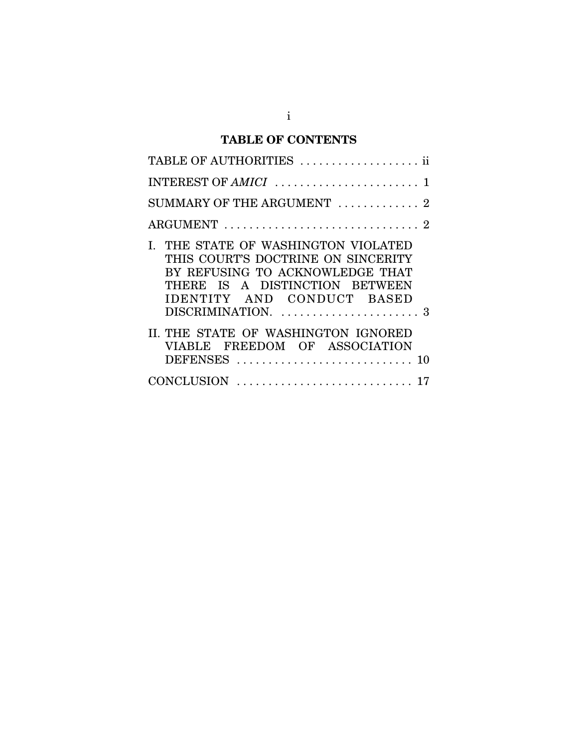## **TABLE OF CONTENTS**

| TABLE OF AUTHORITIES  ii                                                                                                                                                  |
|---------------------------------------------------------------------------------------------------------------------------------------------------------------------------|
|                                                                                                                                                                           |
| SUMMARY OF THE ARGUMENT  2                                                                                                                                                |
|                                                                                                                                                                           |
| THE STATE OF WASHINGTON VIOLATED<br>THIS COURT'S DOCTRINE ON SINCERITY<br>BY REFUSING TO ACKNOWLEDGE THAT<br>THERE IS A DISTINCTION BETWEEN<br>IDENTITY AND CONDUCT BASED |
| II. THE STATE OF WASHINGTON IGNORED<br>VIABLE FREEDOM OF ASSOCIATION<br>DEFENSES  10                                                                                      |
|                                                                                                                                                                           |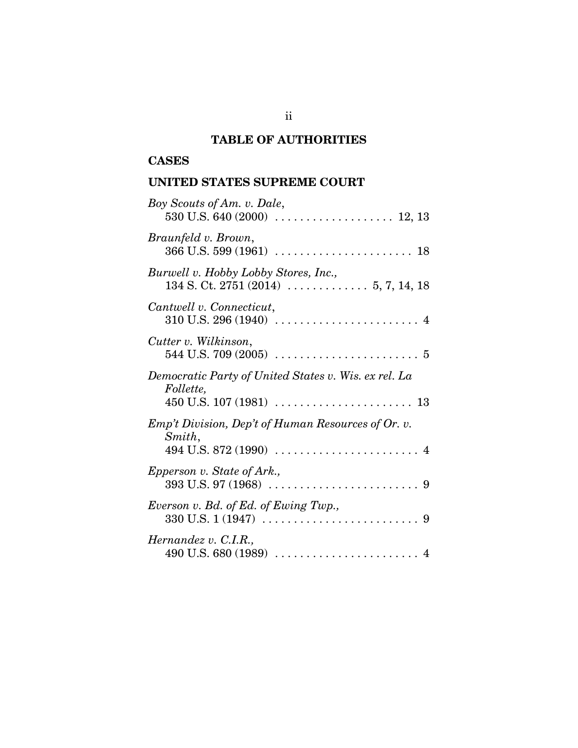## **TABLE OF AUTHORITIES**

## **CASES**

## **UNITED STATES SUPREME COURT**

| Boy Scouts of Am. v. Dale,                                                                                                                            |
|-------------------------------------------------------------------------------------------------------------------------------------------------------|
| Braunfeld v. Brown,                                                                                                                                   |
| Burwell v. Hobby Lobby Stores, Inc.,                                                                                                                  |
| Cantwell v. Connecticut,                                                                                                                              |
| Cutter v. Wilkinson,                                                                                                                                  |
| Democratic Party of United States v. Wis. ex rel. La<br>Follette,                                                                                     |
| Emp't Division, Dep't of Human Resources of Or. v.<br>Smith,<br>494 U.S. 872 (1990) $\ldots \ldots \ldots \ldots \ldots \ldots \ldots \ldots 4$       |
| Epperson v. State of Ark.,                                                                                                                            |
| Everson v. Bd. of Ed. of Ewing Twp.,<br>$330 \text{ U.S. } 1 \,(1947) \,\, \ldots \,\, \ldots \,\, \ldots \,\, \ldots \,\, \ldots \,\, \ldots \,\, 9$ |
| Hernandez v. C.I.R.,<br>490 U.S. 680 (1989) $\ldots \ldots \ldots \ldots \ldots \ldots \ldots \ldots$                                                 |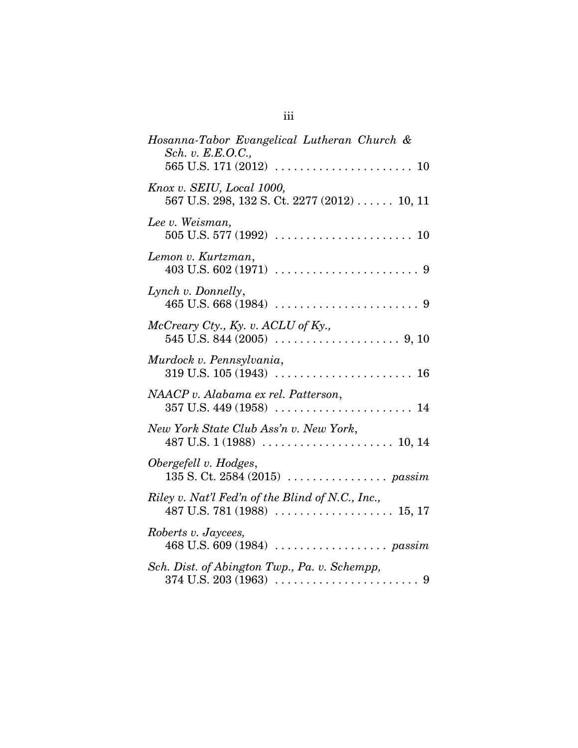| Hosanna-Tabor Evangelical Lutheran Church &<br>Sch. v. E.E.O.C.,         |
|--------------------------------------------------------------------------|
| Knox v. SEIU, Local 1000,<br>567 U.S. 298, 132 S. Ct. 2277 (2012) 10, 11 |
| Lee v. Weisman,                                                          |
| Lemon v. Kurtzman,                                                       |
| Lynch v. Donnelly,                                                       |
| $McCreary\; City.,\; Ky. \; v. \; ACLU \; of \; Ky.,$                    |
| Murdock v. Pennsylvania,                                                 |
| NAACP v. Alabama ex rel. Patterson,                                      |
| New York State Club Ass'n v. New York,                                   |
| Obergefell v. Hodges,                                                    |
| Riley v. Nat'l Fed'n of the Blind of N.C., Inc.,                         |
| Roberts v. Jaycees,                                                      |
| Sch. Dist. of Abington Twp., Pa. v. Schempp,                             |

| ۰. | I | I |  |
|----|---|---|--|
|    |   |   |  |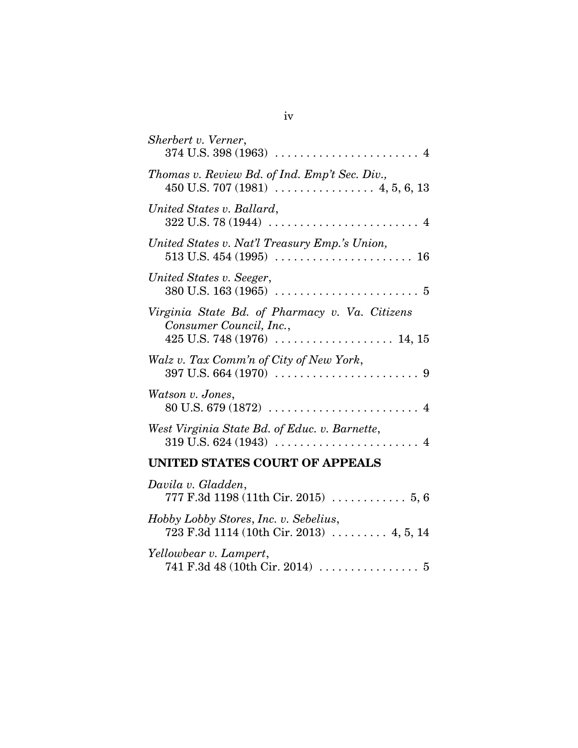| Sherbert v. Verner,                                                       |
|---------------------------------------------------------------------------|
| Thomas v. Review Bd. of Ind. Emp't Sec. Div.,                             |
| United States v. Ballard,                                                 |
| United States v. Nat'l Treasury Emp.'s Union,                             |
| United States v. Seeger,                                                  |
| Virginia State Bd. of Pharmacy v. Va. Citizens<br>Consumer Council, Inc., |
| Walz v. Tax Comm'n of City of New York,                                   |
| Watson v. Jones,                                                          |
| West Virginia State Bd. of Educ. v. Barnette,                             |
| UNITED STATES COURT OF APPEALS                                            |
| Davila v Gladden                                                          |

| Davila v. Gladden,<br>777 F.3d 1198 (11th Cir. 2015) $\ldots \ldots \ldots 5, 6$       |  |
|----------------------------------------------------------------------------------------|--|
| Hobby Lobby Stores, Inc. v. Sebelius,<br>723 F.3d 1114 (10th Cir. 2013)  4, 5, 14      |  |
| Yellowbear v. Lampert,<br>741 F.3d 48 (10th Cir. 2014) $\ldots \ldots \ldots \ldots 5$ |  |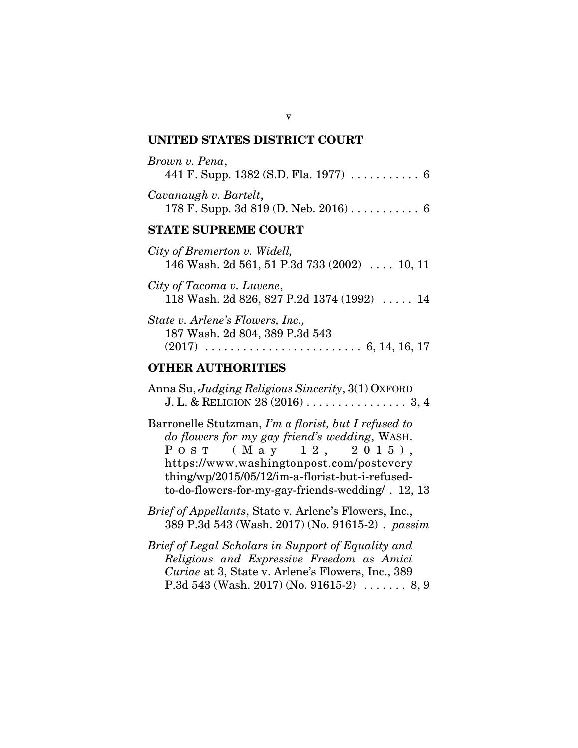### **UNITED STATES DISTRICT COURT**

| Brown v. Pena,<br>441 F. Supp. 1382 (S.D. Fla. 1977) $\ldots \ldots \ldots$ 6 |  |
|-------------------------------------------------------------------------------|--|
| Cavanaugh v. Bartelt,                                                         |  |

## **STATE SUPREME COURT**

| City of Bremerton v. Widell,                 |
|----------------------------------------------|
| 146 Wash. 2d 561, 51 P.3d 733 (2002)  10, 11 |
| City of Tacoma v. Luvene,                    |
| 118 Wash. 2d 826, 827 P.2d 1374 (1992)  14   |
| State v. Arlene's Flowers, Inc.,             |
| 187 Wash. 2d 804, 389 P.3d 543               |
| (2017)                                       |

### **OTHER AUTHORITIES**

Anna Su, *Judging Religious Sincerity*, 3(1) OXFORD J. L. & RELIGION 28 (2016) . . . . . . . . . . . . . . . . 3, 4

Barronelle Stutzman, *I'm a florist, but I refused to do flowers for my gay friend's wedding*, WASH. P O S T ( M a y 1 2, 2 0 1 5), https://www.washingtonpost.com/postevery thing/wp/2015/05/12/im-a-florist-but-i-refusedto-do-flowers-for-my-gay-friends-wedding/ . 12, 13

*Brief of Appellants*, State v. Arlene's Flowers, Inc., 389 P.3d 543 (Wash. 2017) (No. 91615-2) . *passim*

*Brief of Legal Scholars in Support of Equality and Religious and Expressive Freedom as Amici Curiae* at 3, State v. Arlene's Flowers, Inc., 389 P.3d 543 (Wash. 2017) (No. 91615-2) . . . . . . . 8, 9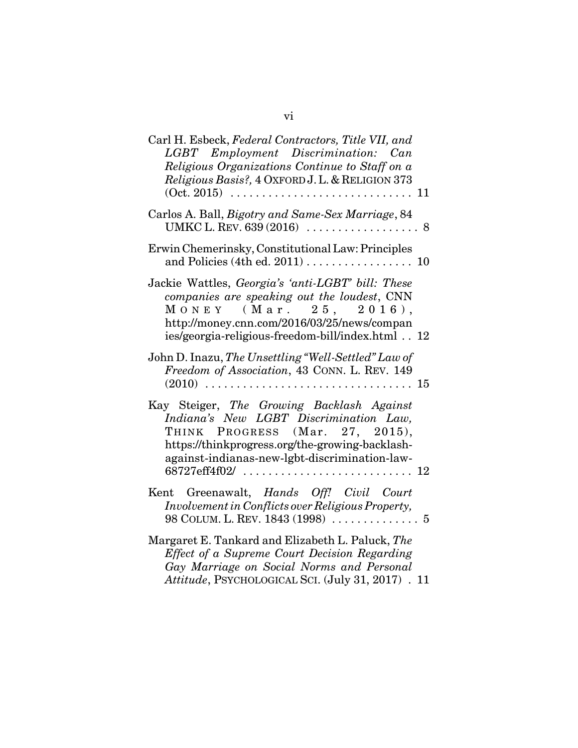| Carl H. Esbeck, Federal Contractors, Title VII, and<br>LGBT Employment Discrimination: Can<br>Religious Organizations Continue to Staff on a<br>Religious Basis?, 4 OXFORD J. L. & RELIGION 373                               |    |
|-------------------------------------------------------------------------------------------------------------------------------------------------------------------------------------------------------------------------------|----|
| Carlos A. Ball, Bigotry and Same-Sex Marriage, 84<br>UMKC L. REV. $639(2016)$                                                                                                                                                 | .8 |
| Erwin Chemerinsky, Constitutional Law: Principles<br>and Policies $(4th ed. 2011)$                                                                                                                                            | 10 |
| Jackie Wattles, Georgia's 'anti-LGBT' bill: These<br>companies are speaking out the loudest, CNN<br>MONEY (Mar. 25, 2016),<br>http://money.cnn.com/2016/03/25/news/compan<br>ies/georgia-religious-freedom-bill/index.html 12 |    |
| John D. Inazu, The Unsettling "Well-Settled" Law of<br>Freedom of Association, 43 CONN. L. REV. 149                                                                                                                           |    |
| Kay Steiger, The Growing Backlash Against<br>Indiana's New LGBT Discrimination Law,<br>THINK PROGRESS (Mar. 27, 2015),<br>https://thinkprogress.org/the-growing-backlash-<br>against-indianas-new-lgbt-discrimination-law-    |    |
| Kent Greenawalt, Hands Off! Civil Court<br>Involvement in Conflicts over Religious Property,                                                                                                                                  |    |
| Margaret E. Tankard and Elizabeth L. Paluck, The<br>Effect of a Supreme Court Decision Regarding<br>Gay Marriage on Social Norms and Personal<br>Attitude, PSYCHOLOGICAL SCI. (July 31, 2017) . 11                            |    |
|                                                                                                                                                                                                                               |    |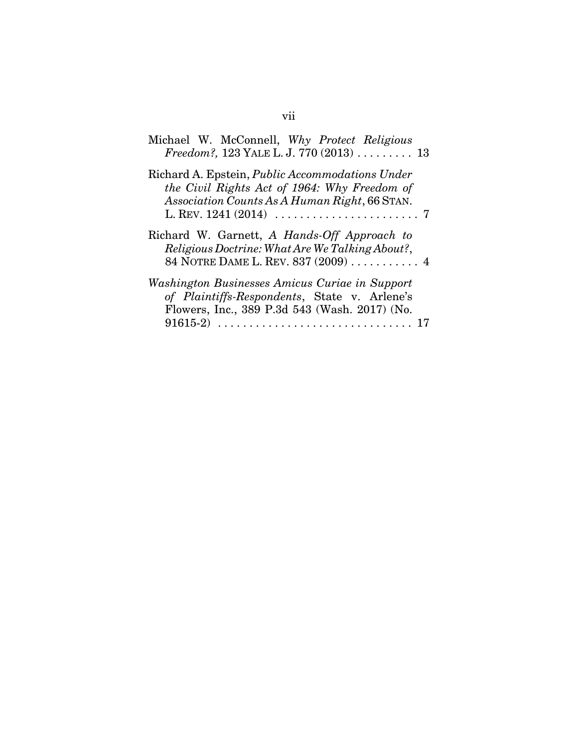| Michael W. McConnell, Why Protect Religious<br>Freedom?, 123 YALE L. J. 770 $(2013)$ 13                                                                 |  |
|---------------------------------------------------------------------------------------------------------------------------------------------------------|--|
| Richard A. Epstein, <i>Public Accommodations Under</i><br>the Civil Rights Act of 1964: Why Freedom of<br>Association Counts As A Human Right, 66 STAN. |  |
| Richard W. Garnett, A Hands-Off Approach to                                                                                                             |  |
| Religious Doctrine: What Are We Talking About?,<br>84 NOTRE DAME L. REV. 837 (2009)  4                                                                  |  |
| Washington Businesses Amicus Curiae in Support<br>of Plaintiffs-Respondents, State v. Arlene's<br>Flowers, Inc., 389 P.3d 543 (Wash. 2017) (No.         |  |
| $91615-2$                                                                                                                                               |  |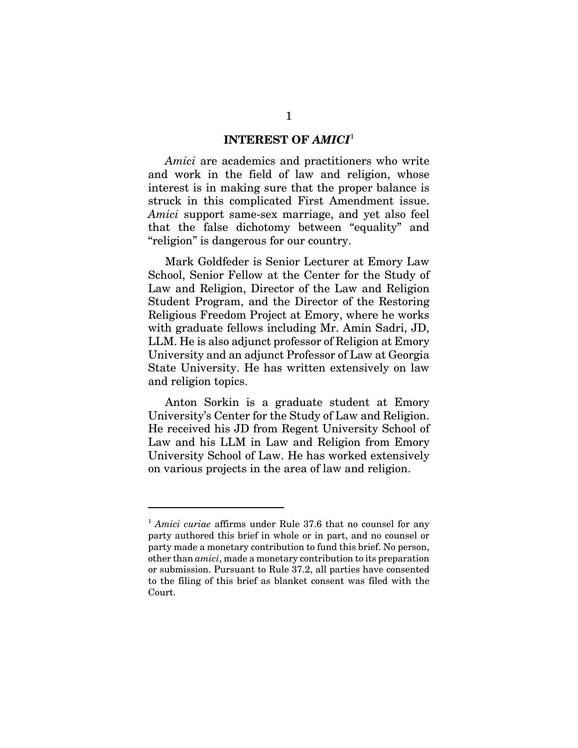### **INTEREST OF** *AMICI*<sup>1</sup>

*Amici* are academics and practitioners who write and work in the field of law and religion, whose interest is in making sure that the proper balance is struck in this complicated First Amendment issue. *Amici* support same-sex marriage, and yet also feel that the false dichotomy between "equality" and "religion" is dangerous for our country.

Mark Goldfeder is Senior Lecturer at Emory Law School, Senior Fellow at the Center for the Study of Law and Religion, Director of the Law and Religion Student Program, and the Director of the Restoring Religious Freedom Project at Emory, where he works with graduate fellows including Mr. Amin Sadri, JD, LLM. He is also adjunct professor of Religion at Emory University and an adjunct Professor of Law at Georgia State University. He has written extensively on law and religion topics.

Anton Sorkin is a graduate student at Emory University's Center for the Study of Law and Religion. He received his JD from Regent University School of Law and his LLM in Law and Religion from Emory University School of Law. He has worked extensively on various projects in the area of law and religion.

<sup>&</sup>lt;sup>1</sup> Amici curiae affirms under Rule 37.6 that no counsel for any party authored this brief in whole or in part, and no counsel or party made a monetary contribution to fund this brief. No person, other than *amici*, made a monetary contribution to its preparation or submission. Pursuant to Rule 37.2, all parties have consented to the filing of this brief as blanket consent was filed with the Court.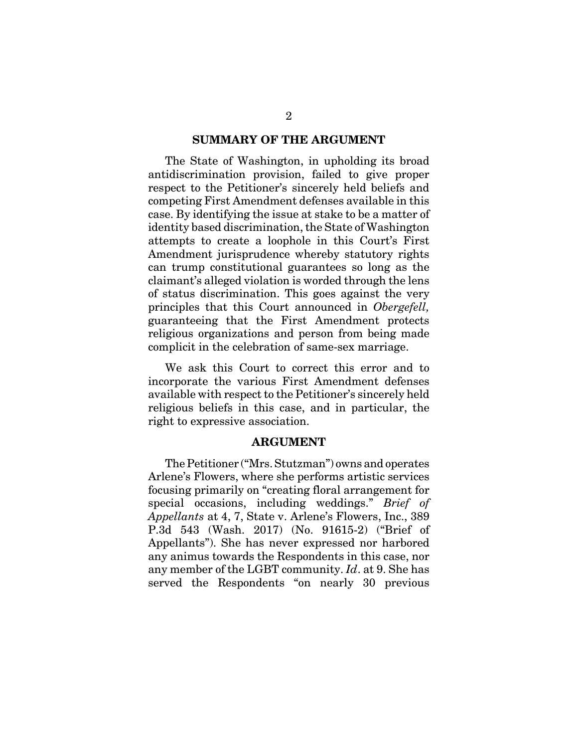### **SUMMARY OF THE ARGUMENT**

The State of Washington, in upholding its broad antidiscrimination provision, failed to give proper respect to the Petitioner's sincerely held beliefs and competing First Amendment defenses available in this case. By identifying the issue at stake to be a matter of identity based discrimination, the State of Washington attempts to create a loophole in this Court's First Amendment jurisprudence whereby statutory rights can trump constitutional guarantees so long as the claimant's alleged violation is worded through the lens of status discrimination. This goes against the very principles that this Court announced in *Obergefell,* guaranteeing that the First Amendment protects religious organizations and person from being made complicit in the celebration of same-sex marriage.

We ask this Court to correct this error and to incorporate the various First Amendment defenses available with respect to the Petitioner's sincerely held religious beliefs in this case, and in particular, the right to expressive association.

#### **ARGUMENT**

The Petitioner ("Mrs. Stutzman") owns and operates Arlene's Flowers, where she performs artistic services focusing primarily on "creating floral arrangement for special occasions, including weddings." *Brief of Appellants* at 4, 7, State v. Arlene's Flowers, Inc., 389 P.3d 543 (Wash. 2017) (No. 91615-2) ("Brief of Appellants"). She has never expressed nor harbored any animus towards the Respondents in this case, nor any member of the LGBT community. *Id*. at 9. She has served the Respondents "on nearly 30 previous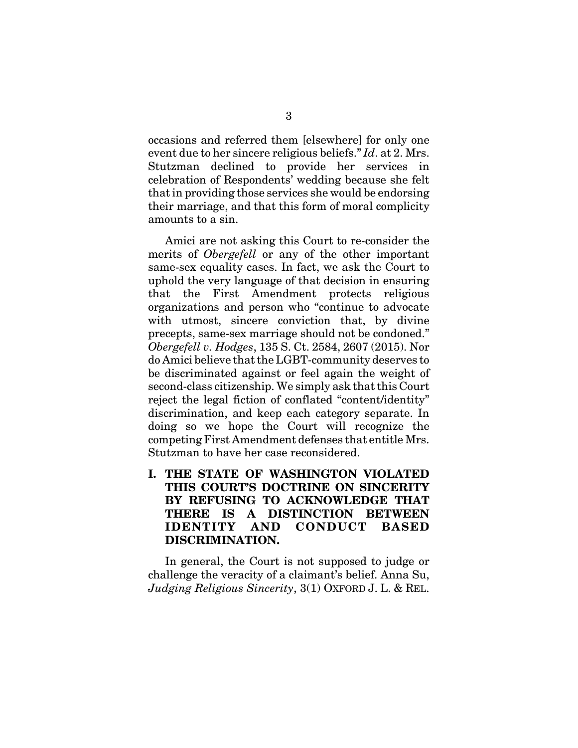occasions and referred them [elsewhere] for only one event due to her sincere religious beliefs." *Id*. at 2. Mrs. Stutzman declined to provide her services in celebration of Respondents' wedding because she felt that in providing those services she would be endorsing their marriage, and that this form of moral complicity amounts to a sin.

Amici are not asking this Court to re-consider the merits of *Obergefell* or any of the other important same-sex equality cases. In fact, we ask the Court to uphold the very language of that decision in ensuring that the First Amendment protects religious organizations and person who "continue to advocate with utmost, sincere conviction that, by divine precepts, same-sex marriage should not be condoned." *Obergefell v. Hodges*, 135 S. Ct. 2584, 2607 (2015). Nor do Amici believe that the LGBT-community deserves to be discriminated against or feel again the weight of second-class citizenship. We simply ask that this Court reject the legal fiction of conflated "content/identity" discrimination, and keep each category separate. In doing so we hope the Court will recognize the competing First Amendment defenses that entitle Mrs. Stutzman to have her case reconsidered.

**I. THE STATE OF WASHINGTON VIOLATED THIS COURT'S DOCTRINE ON SINCERITY BY REFUSING TO ACKNOWLEDGE THAT THERE IS A DISTINCTION BETWEEN IDENTITY AND CONDUCT BASED DISCRIMINATION.**

In general, the Court is not supposed to judge or challenge the veracity of a claimant's belief. Anna Su, *Judging Religious Sincerity*, 3(1) OXFORD J. L. & REL.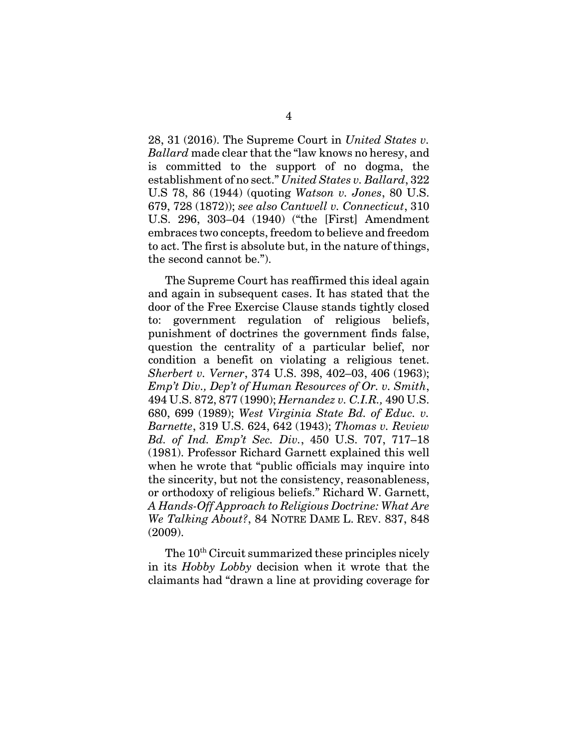28, 31 (2016). The Supreme Court in *United States v. Ballard* made clear that the "law knows no heresy, and is committed to the support of no dogma, the establishment of no sect." *United States v. Ballard*, 322 U.S 78, 86 (1944) (quoting *Watson v. Jones*, 80 U.S. 679, 728 (1872)); *see also Cantwell v. Connecticut*, 310 U.S. 296, 303–04 (1940) ("the [First] Amendment embraces two concepts, freedom to believe and freedom to act. The first is absolute but, in the nature of things, the second cannot be.").

The Supreme Court has reaffirmed this ideal again and again in subsequent cases. It has stated that the door of the Free Exercise Clause stands tightly closed to: government regulation of religious beliefs, punishment of doctrines the government finds false, question the centrality of a particular belief, nor condition a benefit on violating a religious tenet. *Sherbert v. Verner*, 374 U.S. 398, 402–03, 406 (1963); *Emp't Div., Dep't of Human Resources of Or. v. Smith*, 494 U.S. 872, 877 (1990); *Hernandez v. C.I.R.,* 490 U.S. 680, 699 (1989); *West Virginia State Bd. of Educ. v. Barnette*, 319 U.S. 624, 642 (1943); *Thomas v. Review Bd. of Ind. Emp't Sec. Div.*, 450 U.S. 707, 717–18 (1981). Professor Richard Garnett explained this well when he wrote that "public officials may inquire into the sincerity, but not the consistency, reasonableness, or orthodoxy of religious beliefs." Richard W. Garnett, *A Hands-Off Approach to Religious Doctrine: What Are We Talking About?*, 84 NOTRE DAME L. REV. 837, 848 (2009).

The 10<sup>th</sup> Circuit summarized these principles nicely in its *Hobby Lobby* decision when it wrote that the claimants had "drawn a line at providing coverage for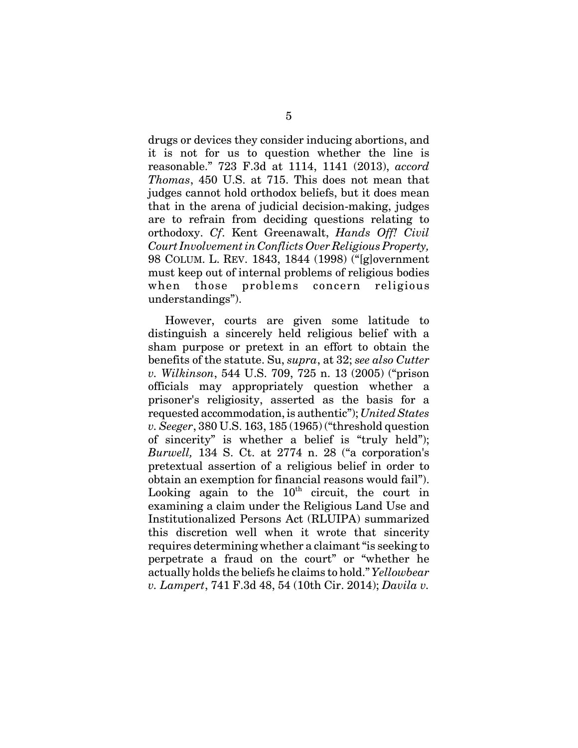drugs or devices they consider inducing abortions, and it is not for us to question whether the line is reasonable." 723 F.3d at 1114, 1141 (2013), *accord Thomas*, 450 U.S. at 715. This does not mean that judges cannot hold orthodox beliefs, but it does mean that in the arena of judicial decision-making, judges are to refrain from deciding questions relating to orthodoxy. *Cf*. Kent Greenawalt, *Hands Off! Civil Court Involvement in Conflicts Over Religious Property,* 98 COLUM. L. REV. 1843, 1844 (1998) ("[g]overnment must keep out of internal problems of religious bodies when those problems concern religious understandings").

However, courts are given some latitude to distinguish a sincerely held religious belief with a sham purpose or pretext in an effort to obtain the benefits of the statute. Su, *supra*, at 32; *see also Cutter v. Wilkinson*, 544 U.S. 709, 725 n. 13 (2005) ("prison officials may appropriately question whether a prisoner's religiosity, asserted as the basis for a requested accommodation, is authentic"); *United States v. Seeger*, 380 U.S. 163, 185 (1965) ("threshold question of sincerity" is whether a belief is "truly held"); *Burwell,* 134 S. Ct. at 2774 n. 28 ("a corporation's pretextual assertion of a religious belief in order to obtain an exemption for financial reasons would fail"). Looking again to the  $10<sup>th</sup>$  circuit, the court in examining a claim under the Religious Land Use and Institutionalized Persons Act (RLUIPA) summarized this discretion well when it wrote that sincerity requires determining whether a claimant "is seeking to perpetrate a fraud on the court" or "whether he actually holds the beliefs he claims to hold." *Yellowbear v. Lampert*, 741 F.3d 48, 54 (10th Cir. 2014); *Davila v.*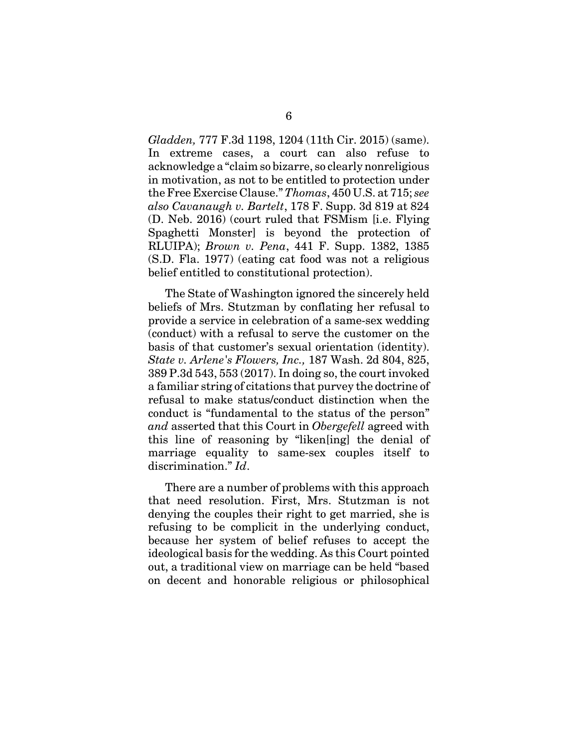*Gladden,* 777 F.3d 1198, 1204 (11th Cir. 2015) (same). In extreme cases, a court can also refuse to acknowledge a "claim so bizarre, so clearly nonreligious in motivation, as not to be entitled to protection under the Free Exercise Clause." *Thomas*, 450 U.S. at 715; *see also Cavanaugh v. Bartelt*, 178 F. Supp. 3d 819 at 824 (D. Neb. 2016) (court ruled that FSMism [i.e. Flying Spaghetti Monster] is beyond the protection of RLUIPA); *Brown v. Pena*, 441 F. Supp. 1382, 1385 (S.D. Fla. 1977) (eating cat food was not a religious belief entitled to constitutional protection).

The State of Washington ignored the sincerely held beliefs of Mrs. Stutzman by conflating her refusal to provide a service in celebration of a same-sex wedding (conduct) with a refusal to serve the customer on the basis of that customer's sexual orientation (identity). *State v. Arlene's Flowers, Inc.,* 187 Wash. 2d 804, 825, 389 P.3d 543, 553 (2017). In doing so, the court invoked a familiar string of citations that purvey the doctrine of refusal to make status/conduct distinction when the conduct is "fundamental to the status of the person" *and* asserted that this Court in *Obergefell* agreed with this line of reasoning by "liken[ing] the denial of marriage equality to same-sex couples itself to discrimination." *Id*.

There are a number of problems with this approach that need resolution. First, Mrs. Stutzman is not denying the couples their right to get married, she is refusing to be complicit in the underlying conduct, because her system of belief refuses to accept the ideological basis for the wedding. As this Court pointed out, a traditional view on marriage can be held "based on decent and honorable religious or philosophical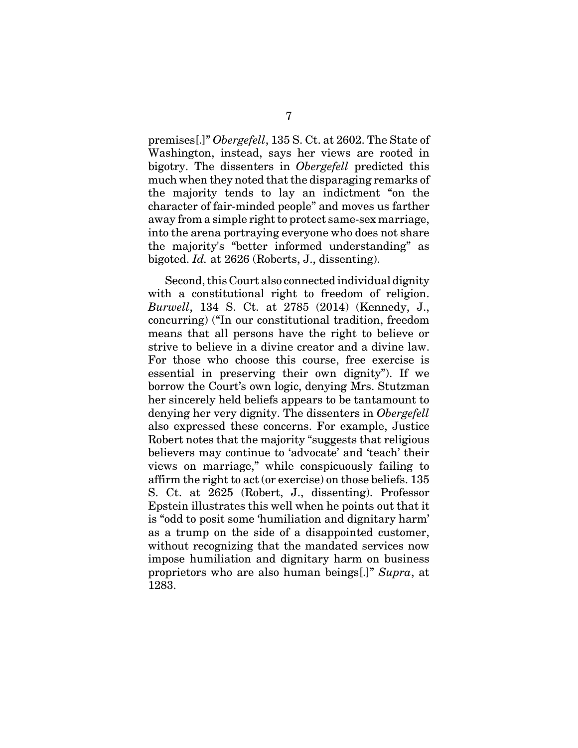premises[.]" *Obergefell*, 135 S. Ct. at 2602. The State of Washington, instead, says her views are rooted in bigotry. The dissenters in *Obergefell* predicted this much when they noted that the disparaging remarks of the majority tends to lay an indictment "on the character of fair-minded people" and moves us farther away from a simple right to protect same-sex marriage, into the arena portraying everyone who does not share the majority's "better informed understanding" as bigoted. *Id.* at 2626 (Roberts, J., dissenting).

Second, this Court also connected individual dignity with a constitutional right to freedom of religion. *Burwell*, 134 S. Ct. at 2785 (2014) (Kennedy, J., concurring) ("In our constitutional tradition, freedom means that all persons have the right to believe or strive to believe in a divine creator and a divine law. For those who choose this course, free exercise is essential in preserving their own dignity"). If we borrow the Court's own logic, denying Mrs. Stutzman her sincerely held beliefs appears to be tantamount to denying her very dignity. The dissenters in *Obergefell* also expressed these concerns. For example, Justice Robert notes that the majority "suggests that religious believers may continue to 'advocate' and 'teach' their views on marriage," while conspicuously failing to affirm the right to act (or exercise) on those beliefs. 135 S. Ct. at 2625 (Robert, J., dissenting). Professor Epstein illustrates this well when he points out that it is "odd to posit some 'humiliation and dignitary harm' as a trump on the side of a disappointed customer, without recognizing that the mandated services now impose humiliation and dignitary harm on business proprietors who are also human beings[.]" *Supra*, at 1283.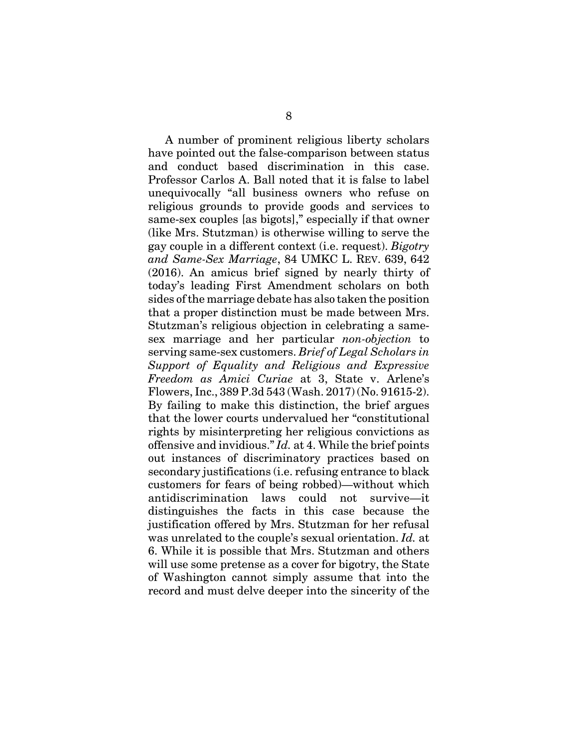A number of prominent religious liberty scholars have pointed out the false-comparison between status and conduct based discrimination in this case. Professor Carlos A. Ball noted that it is false to label unequivocally "all business owners who refuse on religious grounds to provide goods and services to same-sex couples [as bigots]," especially if that owner (like Mrs. Stutzman) is otherwise willing to serve the gay couple in a different context (i.e. request). *Bigotry and Same-Sex Marriage*, 84 UMKC L. REV. 639, 642 (2016). An amicus brief signed by nearly thirty of today's leading First Amendment scholars on both sides of the marriage debate has also taken the position that a proper distinction must be made between Mrs. Stutzman's religious objection in celebrating a samesex marriage and her particular *non-objection* to serving same-sex customers. *Brief of Legal Scholars in Support of Equality and Religious and Expressive Freedom as Amici Curiae* at 3, State v. Arlene's Flowers, Inc., 389 P.3d 543 (Wash. 2017) (No. 91615-2). By failing to make this distinction, the brief argues that the lower courts undervalued her "constitutional rights by misinterpreting her religious convictions as offensive and invidious." *Id.* at 4. While the brief points out instances of discriminatory practices based on secondary justifications (i.e. refusing entrance to black customers for fears of being robbed)—without which antidiscrimination laws could not survive—it distinguishes the facts in this case because the justification offered by Mrs. Stutzman for her refusal was unrelated to the couple's sexual orientation. *Id.* at 6. While it is possible that Mrs. Stutzman and others will use some pretense as a cover for bigotry, the State of Washington cannot simply assume that into the record and must delve deeper into the sincerity of the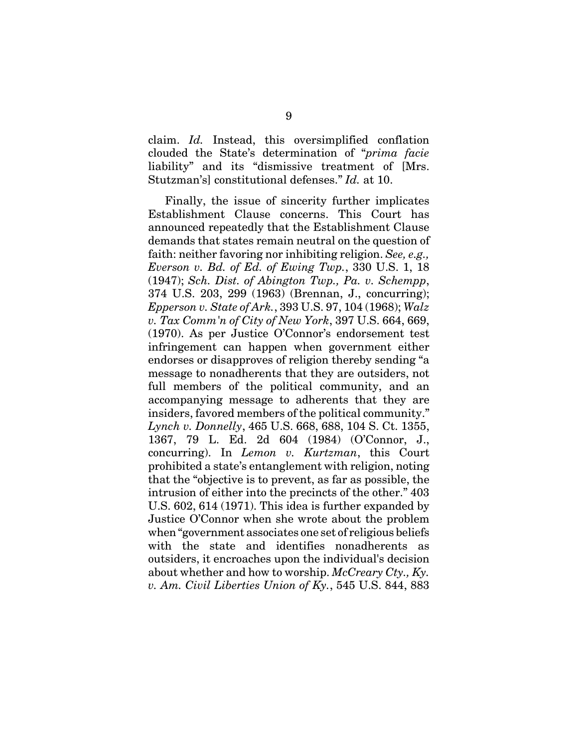claim. *Id.* Instead, this oversimplified conflation clouded the State's determination of "*prima facie* liability" and its "dismissive treatment of [Mrs. Stutzman's] constitutional defenses." *Id.* at 10.

Finally, the issue of sincerity further implicates Establishment Clause concerns. This Court has announced repeatedly that the Establishment Clause demands that states remain neutral on the question of faith: neither favoring nor inhibiting religion. *See, e.g., Everson v. Bd. of Ed. of Ewing Twp.*, 330 U.S. 1, 18 (1947); *Sch. Dist. of Abington Twp., Pa. v. Schempp*, 374 U.S. 203, 299 (1963) (Brennan, J., concurring); *Epperson v. State of Ark.*, 393 U.S. 97, 104 (1968); *Walz v. Tax Comm'n of City of New York*, 397 U.S. 664, 669, (1970). As per Justice O'Connor's endorsement test infringement can happen when government either endorses or disapproves of religion thereby sending "a message to nonadherents that they are outsiders, not full members of the political community, and an accompanying message to adherents that they are insiders, favored members of the political community." *Lynch v. Donnelly*, 465 U.S. 668, 688, 104 S. Ct. 1355, 1367, 79 L. Ed. 2d 604 (1984) (O'Connor, J., concurring). In *Lemon v. Kurtzman*, this Court prohibited a state's entanglement with religion, noting that the "objective is to prevent, as far as possible, the intrusion of either into the precincts of the other." 403 U.S. 602, 614 (1971). This idea is further expanded by Justice O'Connor when she wrote about the problem when "government associates one set of religious beliefs with the state and identifies nonadherents as outsiders, it encroaches upon the individual's decision about whether and how to worship. *McCreary Cty., Ky. v. Am. Civil Liberties Union of Ky.*, 545 U.S. 844, 883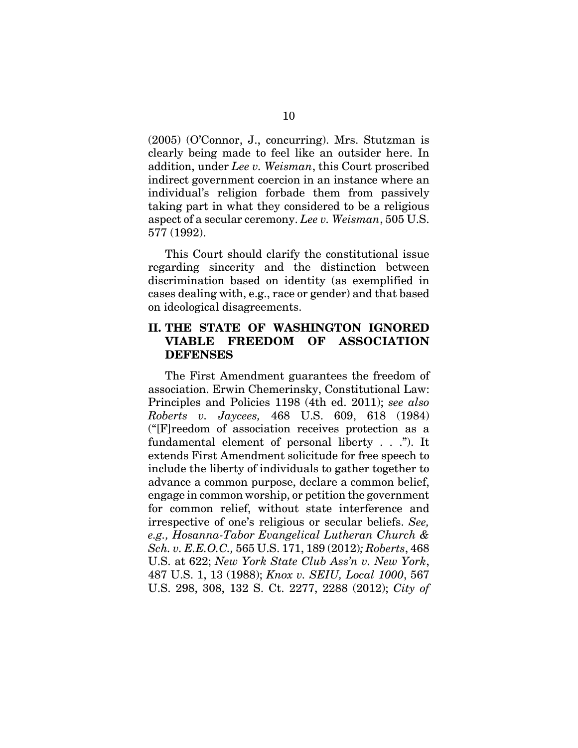(2005) (O'Connor, J., concurring). Mrs. Stutzman is clearly being made to feel like an outsider here. In addition, under *Lee v. Weisman*, this Court proscribed indirect government coercion in an instance where an individual's religion forbade them from passively taking part in what they considered to be a religious aspect of a secular ceremony. *Lee v. Weisman*, 505 U.S. 577 (1992).

This Court should clarify the constitutional issue regarding sincerity and the distinction between discrimination based on identity (as exemplified in cases dealing with, e.g., race or gender) and that based on ideological disagreements.

## **II. THE STATE OF WASHINGTON IGNORED VIABLE FREEDOM OF ASSOCIATION DEFENSES**

The First Amendment guarantees the freedom of association. Erwin Chemerinsky, Constitutional Law: Principles and Policies 1198 (4th ed. 2011); *see also Roberts v. Jaycees,* 468 U.S. 609, 618 (1984) ("[F]reedom of association receives protection as a fundamental element of personal liberty . . ."). It extends First Amendment solicitude for free speech to include the liberty of individuals to gather together to advance a common purpose, declare a common belief, engage in common worship, or petition the government for common relief, without state interference and irrespective of one's religious or secular beliefs. *See, e.g., Hosanna-Tabor Evangelical Lutheran Church & Sch. v. E.E.O.C.,* 565 U.S. 171, 189 (2012)*; Roberts*, 468 U.S. at 622; *New York State Club Ass'n v. New York*, 487 U.S. 1, 13 (1988); *Knox v. SEIU, Local 1000*, 567 U.S. 298, 308, 132 S. Ct. 2277, 2288 (2012); *City of*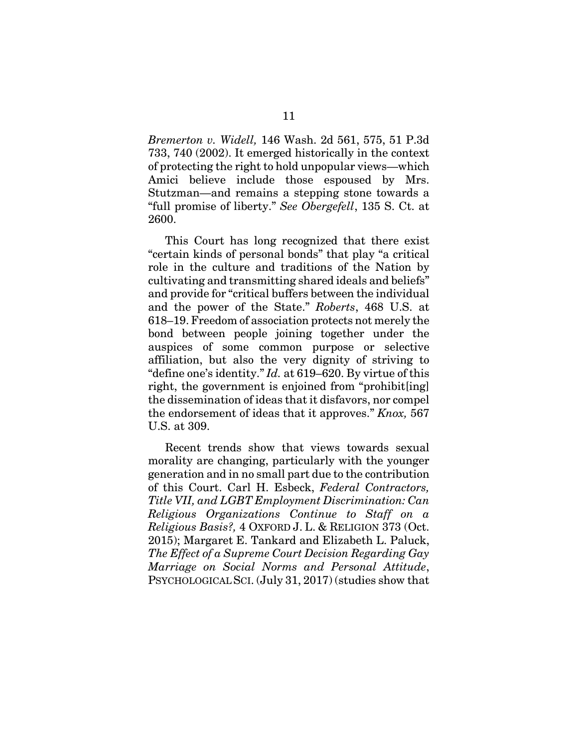*Bremerton v. Widell,* 146 Wash. 2d 561, 575, 51 P.3d 733, 740 (2002). It emerged historically in the context of protecting the right to hold unpopular views—which Amici believe include those espoused by Mrs. Stutzman—and remains a stepping stone towards a "full promise of liberty." *See Obergefell*, 135 S. Ct. at 2600.

This Court has long recognized that there exist "certain kinds of personal bonds" that play "a critical role in the culture and traditions of the Nation by cultivating and transmitting shared ideals and beliefs" and provide for "critical buffers between the individual and the power of the State." *Roberts*, 468 U.S. at 618–19. Freedom of association protects not merely the bond between people joining together under the auspices of some common purpose or selective affiliation, but also the very dignity of striving to "define one's identity." *Id.* at 619–620. By virtue of this right, the government is enjoined from "prohibit[ing] the dissemination of ideas that it disfavors, nor compel the endorsement of ideas that it approves." *Knox,* 567 U.S. at 309.

Recent trends show that views towards sexual morality are changing, particularly with the younger generation and in no small part due to the contribution of this Court. Carl H. Esbeck, *Federal Contractors, Title VII, and LGBT Employment Discrimination: Can Religious Organizations Continue to Staff on a Religious Basis?,* 4 OXFORD J. L. & RELIGION 373 (Oct. 2015); Margaret E. Tankard and Elizabeth L. Paluck, *The Effect of a Supreme Court Decision Regarding Gay Marriage on Social Norms and Personal Attitude*, PSYCHOLOGICAL SCI. (July 31, 2017) (studies show that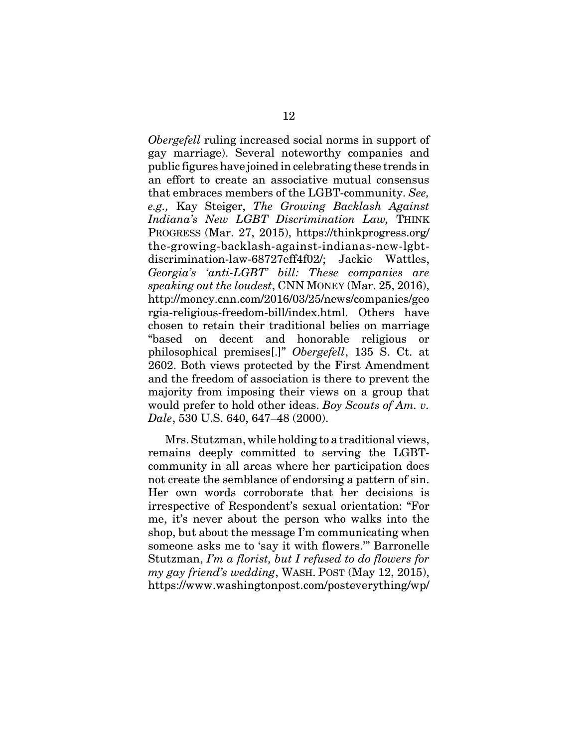*Obergefell* ruling increased social norms in support of gay marriage). Several noteworthy companies and public figures have joined in celebrating these trends in an effort to create an associative mutual consensus that embraces members of the LGBT-community. *See, e.g.,* Kay Steiger, *The Growing Backlash Against Indiana's New LGBT Discrimination Law,* THINK PROGRESS (Mar. 27, 2015), https://thinkprogress.org/ the-growing-backlash-against-indianas-new-lgbtdiscrimination-law-68727eff4f02/; Jackie Wattles, *Georgia's 'anti-LGBT' bill: These companies are speaking out the loudest*, CNN MONEY (Mar. 25, 2016), http://money.cnn.com/2016/03/25/news/companies/geo rgia-religious-freedom-bill/index.html. Others have chosen to retain their traditional belies on marriage "based on decent and honorable religious or philosophical premises[.]" *Obergefell*, 135 S. Ct. at 2602. Both views protected by the First Amendment and the freedom of association is there to prevent the majority from imposing their views on a group that would prefer to hold other ideas. *Boy Scouts of Am. v. Dale*, 530 U.S. 640, 647–48 (2000).

Mrs. Stutzman, while holding to a traditional views, remains deeply committed to serving the LGBTcommunity in all areas where her participation does not create the semblance of endorsing a pattern of sin. Her own words corroborate that her decisions is irrespective of Respondent's sexual orientation: "For me, it's never about the person who walks into the shop, but about the message I'm communicating when someone asks me to 'say it with flowers.'" Barronelle Stutzman, *I'm a florist, but I refused to do flowers for my gay friend's wedding*, WASH. POST (May 12, 2015), https://www.washingtonpost.com/posteverything/wp/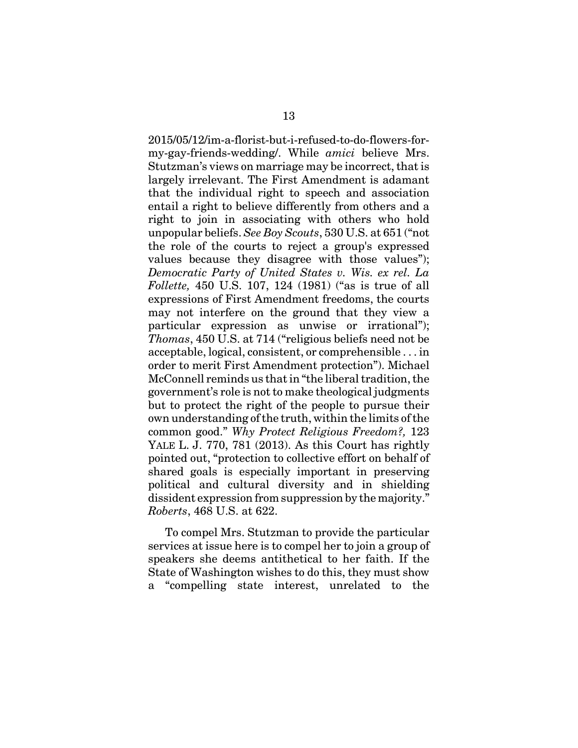2015/05/12/im-a-florist-but-i-refused-to-do-flowers-formy-gay-friends-wedding/. While *amici* believe Mrs. Stutzman's views on marriage may be incorrect, that is largely irrelevant. The First Amendment is adamant that the individual right to speech and association entail a right to believe differently from others and a right to join in associating with others who hold unpopular beliefs. *See Boy Scouts*, 530 U.S. at 651 ("not the role of the courts to reject a group's expressed values because they disagree with those values"); *Democratic Party of United States v. Wis. ex rel. La Follette,* 450 U.S. 107, 124 (1981) ("as is true of all expressions of First Amendment freedoms, the courts may not interfere on the ground that they view a particular expression as unwise or irrational"); *Thomas*, 450 U.S. at 714 ("religious beliefs need not be acceptable, logical, consistent, or comprehensible . . . in order to merit First Amendment protection"). Michael McConnell reminds us that in "the liberal tradition, the government's role is not to make theological judgments but to protect the right of the people to pursue their own understanding of the truth, within the limits of the common good." *Why Protect Religious Freedom?,* 123 YALE L. J. 770, 781 (2013). As this Court has rightly pointed out, "protection to collective effort on behalf of shared goals is especially important in preserving political and cultural diversity and in shielding dissident expression from suppression by the majority." *Roberts*, 468 U.S. at 622.

To compel Mrs. Stutzman to provide the particular services at issue here is to compel her to join a group of speakers she deems antithetical to her faith. If the State of Washington wishes to do this, they must show a "compelling state interest, unrelated to the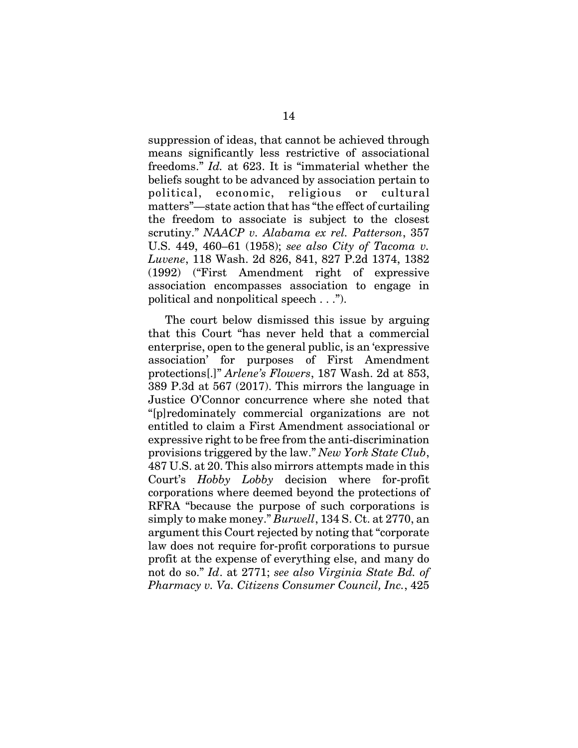suppression of ideas, that cannot be achieved through means significantly less restrictive of associational freedoms." *Id.* at 623. It is "immaterial whether the beliefs sought to be advanced by association pertain to political, economic, religious or cultural matters"—state action that has "the effect of curtailing the freedom to associate is subject to the closest scrutiny." *NAACP v. Alabama ex rel. Patterson*, 357 U.S. 449, 460–61 (1958); *see also City of Tacoma v. Luvene*, 118 Wash. 2d 826, 841, 827 P.2d 1374, 1382 (1992) ("First Amendment right of expressive association encompasses association to engage in political and nonpolitical speech . . .").

The court below dismissed this issue by arguing that this Court "has never held that a commercial enterprise, open to the general public, is an 'expressive association' for purposes of First Amendment protections[.]" *Arlene's Flowers*, 187 Wash. 2d at 853, 389 P.3d at 567 (2017). This mirrors the language in Justice O'Connor concurrence where she noted that "[p]redominately commercial organizations are not entitled to claim a First Amendment associational or expressive right to be free from the anti-discrimination provisions triggered by the law." *New York State Club*, 487 U.S. at 20. This also mirrors attempts made in this Court's *Hobby Lobby* decision where for-profit corporations where deemed beyond the protections of RFRA "because the purpose of such corporations is simply to make money." *Burwell*, 134 S. Ct. at 2770, an argument this Court rejected by noting that "corporate law does not require for-profit corporations to pursue profit at the expense of everything else, and many do not do so." *Id*. at 2771; *see also Virginia State Bd. of Pharmacy v. Va. Citizens Consumer Council, Inc.*, 425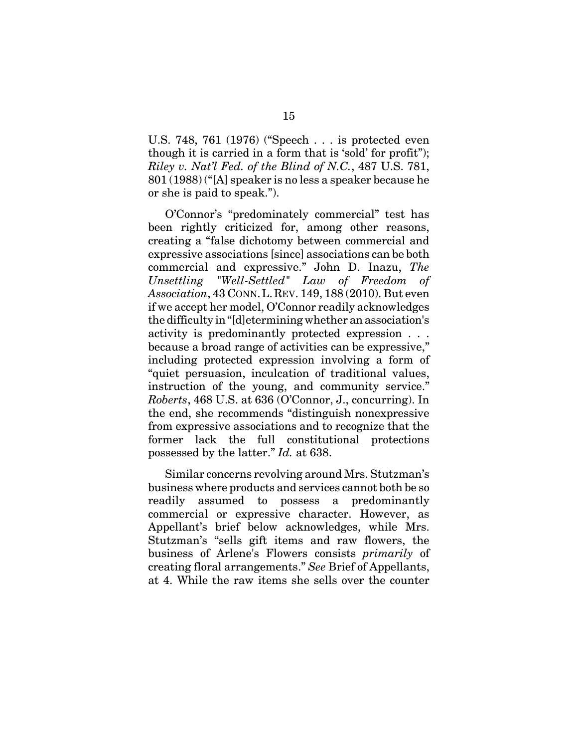U.S. 748, 761 (1976) ("Speech . . . is protected even though it is carried in a form that is 'sold' for profit"); *Riley v. Nat'l Fed. of the Blind of N.C.*, 487 U.S. 781, 801 (1988) ("[A] speaker is no less a speaker because he or she is paid to speak.").

O'Connor's "predominately commercial" test has been rightly criticized for, among other reasons, creating a "false dichotomy between commercial and expressive associations [since] associations can be both commercial and expressive." John D. Inazu, *The Unsettling "Well-Settled" Law of Freedom of Association*, 43 CONN.L.REV. 149, 188 (2010). But even if we accept her model, O'Connor readily acknowledges the difficulty in "[d]etermining whether an association's activity is predominantly protected expression . . . because a broad range of activities can be expressive," including protected expression involving a form of "quiet persuasion, inculcation of traditional values, instruction of the young, and community service." *Roberts*, 468 U.S. at 636 (O'Connor, J., concurring). In the end, she recommends "distinguish nonexpressive from expressive associations and to recognize that the former lack the full constitutional protections possessed by the latter." *Id.* at 638.

Similar concerns revolving around Mrs. Stutzman's business where products and services cannot both be so readily assumed to possess a predominantly commercial or expressive character. However, as Appellant's brief below acknowledges, while Mrs. Stutzman's "sells gift items and raw flowers, the business of Arlene's Flowers consists *primarily* of creating floral arrangements." *See* Brief of Appellants, at 4. While the raw items she sells over the counter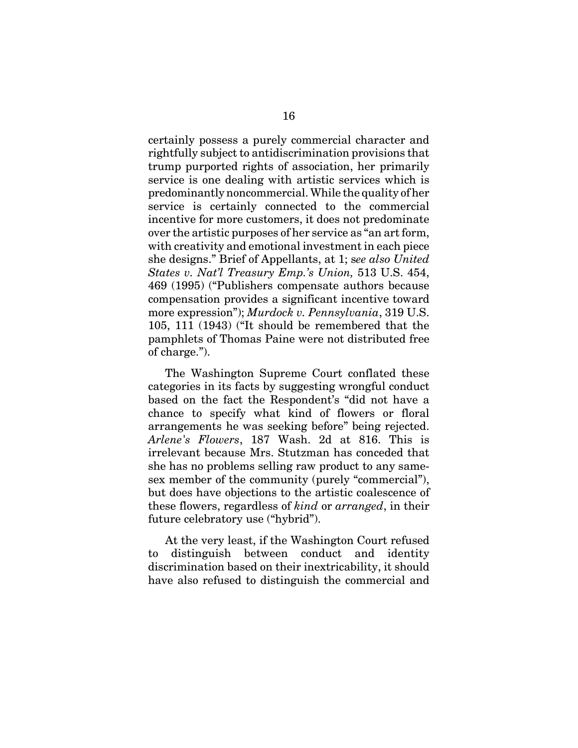certainly possess a purely commercial character and rightfully subject to antidiscrimination provisions that trump purported rights of association, her primarily service is one dealing with artistic services which is predominantly noncommercial. While the quality of her service is certainly connected to the commercial incentive for more customers, it does not predominate over the artistic purposes of her service as "an art form, with creativity and emotional investment in each piece she designs." Brief of Appellants, at 1; s*ee also United States v. Nat'l Treasury Emp.'s Union,* 513 U.S. 454, 469 (1995) ("Publishers compensate authors because compensation provides a significant incentive toward more expression"); *Murdock v. Pennsylvania*, 319 U.S. 105, 111 (1943) ("It should be remembered that the pamphlets of Thomas Paine were not distributed free of charge.").

The Washington Supreme Court conflated these categories in its facts by suggesting wrongful conduct based on the fact the Respondent's "did not have a chance to specify what kind of flowers or floral arrangements he was seeking before" being rejected. *Arlene's Flowers*, 187 Wash. 2d at 816. This is irrelevant because Mrs. Stutzman has conceded that she has no problems selling raw product to any samesex member of the community (purely "commercial"), but does have objections to the artistic coalescence of these flowers, regardless of *kind* or *arranged*, in their future celebratory use ("hybrid").

At the very least, if the Washington Court refused to distinguish between conduct and identity discrimination based on their inextricability, it should have also refused to distinguish the commercial and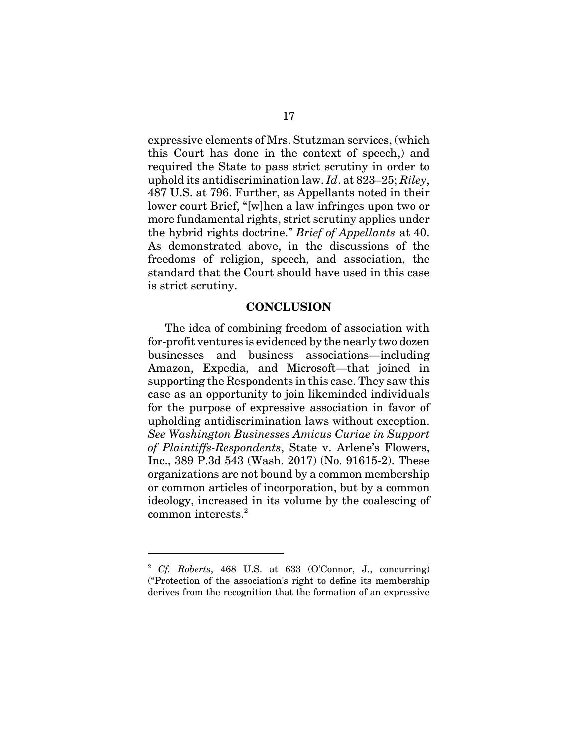expressive elements of Mrs. Stutzman services, (which this Court has done in the context of speech,) and required the State to pass strict scrutiny in order to uphold its antidiscrimination law. *Id*. at 823–25; *Riley*, 487 U.S. at 796. Further, as Appellants noted in their lower court Brief, "[w]hen a law infringes upon two or more fundamental rights, strict scrutiny applies under the hybrid rights doctrine." *Brief of Appellants* at 40. As demonstrated above, in the discussions of the freedoms of religion, speech, and association, the standard that the Court should have used in this case is strict scrutiny.

### **CONCLUSION**

The idea of combining freedom of association with for-profit ventures is evidenced by the nearly two dozen businesses and business associations—including Amazon, Expedia, and Microsoft—that joined in supporting the Respondents in this case. They saw this case as an opportunity to join likeminded individuals for the purpose of expressive association in favor of upholding antidiscrimination laws without exception. *See Washington Businesses Amicus Curiae in Support of Plaintiffs-Respondents*, State v. Arlene's Flowers, Inc., 389 P.3d 543 (Wash. 2017) (No. 91615-2). These organizations are not bound by a common membership or common articles of incorporation, but by a common ideology, increased in its volume by the coalescing of common interests. $<sup>2</sup>$ </sup>

<sup>2</sup> *Cf. Roberts*, 468 U.S. at 633 (O'Connor, J., concurring) ("Protection of the association's right to define its membership derives from the recognition that the formation of an expressive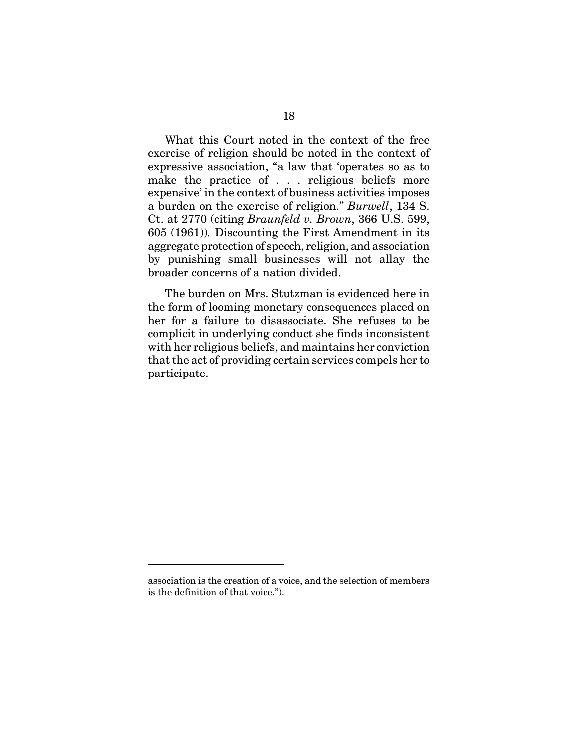What this Court noted in the context of the free exercise of religion should be noted in the context of expressive association, "a law that 'operates so as to make the practice of . . . religious beliefs more expensive' in the context of business activities imposes a burden on the exercise of religion." *Burwell*, 134 S. Ct. at 2770 (citing *Braunfeld v. Brown*, 366 U.S. 599, 605 (1961))*.* Discounting the First Amendment in its aggregate protection of speech, religion, and association by punishing small businesses will not allay the broader concerns of a nation divided.

The burden on Mrs. Stutzman is evidenced here in the form of looming monetary consequences placed on her for a failure to disassociate. She refuses to be complicit in underlying conduct she finds inconsistent with her religious beliefs, and maintains her conviction that the act of providing certain services compels her to participate.

association is the creation of a voice, and the selection of members is the definition of that voice.").